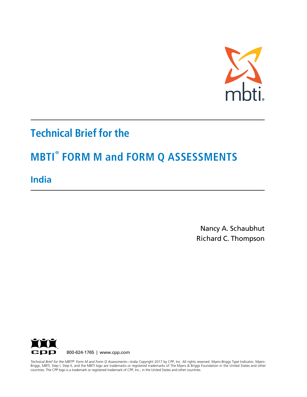

# **Technical Brief for the**

# **MBTI® FORM M and FORM Q ASSESSMENTS**

**India**

Nancy A. Schaubhut Richard C. Thompson



countries. The CPP logo is a trademark or registered trademark of CPP, Inc., in the United States and other countries. *Technical Brief for the MBTI® Form M and Form Q Assessments—India C*opyright 2017 by CPP, Inc. All rights reserved. Myers-Briggs Type Indicator, Myers-Briggs, MBTI, Step I, Step II, and the MBTI logo are trademarks or registered trademarks of The Myers & Briggs Foundation in the United States and other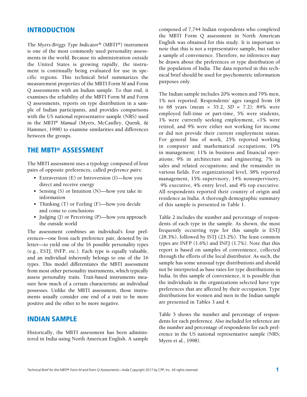#### INTRODUCTION

The *Myers-Briggs Type Indicator®* (MBTI®) instrument is one of the most commonly used personality assessments in the world. Because its administration outside the United States is growing rapidly, the instrument is continually being evaluated for use in specific regions. This technical brief summarizes the measurement properties of the MBTI Form M and Form Q assessments with an Indian sample. To that end, it examines the reliability of the MBTI Form M and Form Q assessments, reports on type distribution in a sample of Indian participants, and provides comparisons with the US national representative sample (NRS) used in the *MBTI*® *Manual* (Myers, McCaulley, Quenk, & Hammer, 1998) to examine similarities and differences between the groups.

### THE MBTI® ASSESSMENT

The MBTI assessment uses a typology composed of four pairs of opposite preferences, called *preference pairs:*

- Extraversion (E) or Introversion (I)—how you direct and receive energy
- Sensing (S) or Intuition (N)—how you take in information
- Thinking (T) or Feeling (F)—how you decide and come to conclusions
- Judging (J) or Perceiving (P)—how you approach the outside world

The assessment combines an individual's four preferences—one from each preference pair, denoted by its letter—to yield one of the 16 possible personality types (e.g., ESTJ, INFP, etc.). Each type is equally valuable, and an individual inherently belongs to one of the 16 types. This model differentiates the MBTI assessment from most other personality instruments, which typically assess personality traits. Trait-based instruments measure how much of a certain characteristic an individual possesses. Unlike the MBTI assessment, those instruments usually consider one end of a trait to be more positive and the other to be more negative.

#### INDIAN SAMPLE

Historically, the MBTI assessment has been administered in India using North American English. A sample

composed of 7,744 Indian respondents who completed the MBTI Form Q assessment in North American English was obtained for this study. It is important to note that this is not a representative sample, but rather a sample of convenience. Therefore, no inferences may be drawn about the preferences or type distribution of the population of India. The data reported in this technical brief should be used for psychometric information purposes only.

The Indian sample includes 20% women and 79% men, 1% not reported. Respondents' ages ranged from 18 to 68 years (mean = 35.2, *SD* = 7.2); 84% were employed full-time or part-time, 5% were students, 1% were currently seeking employment, <1% were retired, and 9% were either not working for income or did not provide their current employment status. For general line of work, 25% reported working in computer and mathematical occupations; 19% in management; 11% in business and financial operations; 9% in architecture and engineering; 7% in sales and related occupations; and the remainder in various fields. For organizational level, 38% reported management, 15% supervisory, 14% nonsupervisory, 9% executive, 4% entry level, and 4% top executive. All respondents reported their country of origin and residence as India. A thorough demographic summary of this sample is presented in Table 1.

Table 2 includes the number and percentage of respondents of each type in the sample. As shown, the most frequently occurring type for this sample is ESTJ (28.3%), followed by ISTJ (23.2%). The least common types are INFP (1.6%) and INFJ (1.7%). Note that this report is based on samples of convenience, collected through the efforts of the local distributor. As such, the sample has some unusual type distributions and should not be interpreted as base rates for type distributions in India. In this sample of convenience, it is possible that the individuals in the organizations selected have type preferences that are affected by their occupation. Type distributions for women and men in the Indian sample are presented in Tables 3 and 4.

Table 5 shows the number and percentage of respondents for each preference. Also included for reference are the number and percentage of respondents for each preference in the US national representative sample (NRS; Myers et al., 1998).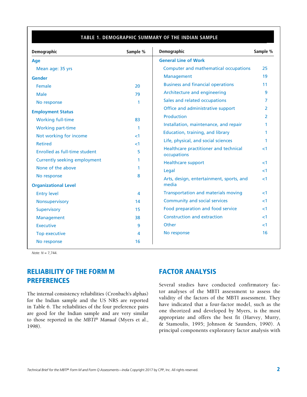#### TABLE 1. DEMOGRAPHIC SUMMARY OF THE INDIAN SAMPLE

| Demographic                                | Sample %       | Demographic                                          | Sample % |
|--------------------------------------------|----------------|------------------------------------------------------|----------|
| <b>Age</b>                                 |                | <b>General Line of Work</b>                          |          |
| Mean age: 35 yrs                           |                | Computer and mathematical occupations                | 25       |
| <b>Gender</b>                              |                | Management                                           | 19       |
| Female                                     | 20             | <b>Business and financial operations</b>             | 11       |
| <b>Male</b>                                | 79             | Architecture and engineering                         | 9        |
| No response                                | 1              | Sales and related occupations                        | 7        |
| <b>Employment Status</b>                   |                | Office and administrative support                    | 2        |
| <b>Working full-time</b>                   | 83             | <b>Production</b>                                    | 2        |
| <b>Working part-time</b>                   | 1              | Installation, maintenance, and repair                | 1        |
| Not working for income                     | $\leq$ 1       | Education, training, and library                     | 1        |
| <b>Retired</b>                             | ${<}1$         | Life, physical, and social sciences                  |          |
| Enrolled as full-time student              | 5              | Healthcare practitioner and technical<br>occupations | ${<}1$   |
| Currently seeking employment               | 1              | <b>Healthcare support</b>                            | -1       |
| None of the above                          | 1.             | Legal                                                | ${<}1$   |
| No response<br><b>Organizational Level</b> | 8              | Arts, design, entertainment, sports, and<br>media    | ${<}1$   |
| <b>Entry level</b>                         | $\overline{4}$ | <b>Transportation and materials moving</b>           | ${<}1$   |
| Nonsupervisory                             | 14             | Community and social services                        | ${<}1$   |
| <b>Supervisory</b>                         | 15             | Food preparation and food service                    | ${<}1$   |
| Management                                 | 38             | <b>Construction and extraction</b>                   | ${<}1$   |
| <b>Executive</b>                           | 9              | Other                                                | ${<}1$   |
| Top executive                              | 4              | No response                                          | 16       |
| No response                                | 16             |                                                      |          |

*Note: N* = 7,744.

# RELIABILITY OF THE FORM M PREFERENCES

The internal consistency reliabilities (Cronbach's alphas) for the Indian sample and the US NRS are reported in Table 6. The reliabilities of the four preference pairs are good for the Indian sample and are very similar to those reported in the *MBTI*® *Manual* (Myers et al., 1998).

### FACTOR ANALYSIS

Several studies have conducted confirmatory factor analyses of the MBTI assessment to assess the validity of the factors of the MBTI assessment. They have indicated that a four-factor model, such as the one theorized and developed by Myers, is the most appropriate and offers the best fit (Harvey, Murry, & Stamoulis, 1995; Johnson & Saunders, 1990). A principal components exploratory factor analysis with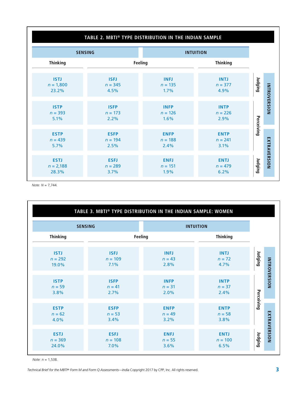| <b>SENSING</b>                      |                                  |                                  | <b>INTUITION</b>                 |                         |  |
|-------------------------------------|----------------------------------|----------------------------------|----------------------------------|-------------------------|--|
| <b>Thinking</b>                     |                                  | Feeling                          | <b>Thinking</b>                  |                         |  |
| <b>ISTJ</b><br>$n = 1,800$<br>23.2% | <b>ISFJ</b><br>$n = 345$<br>4.5% | <b>INFJ</b><br>$n = 135$<br>1.7% | <b>INTJ</b><br>$n = 377$<br>4.9% | Judging                 |  |
| <b>ISTP</b><br>$n = 393$<br>5.1%    | <b>ISFP</b><br>$n = 173$<br>2.2% | <b>INFP</b><br>$n = 126$<br>1.6% | <b>INTP</b><br>$n = 226$<br>2.9% | <b>INTROVERSION</b>     |  |
| <b>ESTP</b><br>$n = 439$<br>5.7%    | <b>ESFP</b><br>$n = 194$<br>2.5% | <b>ENFP</b><br>$n = 188$<br>2.4% | <b>ENTP</b><br>$n = 241$<br>3.1% | Perceiving              |  |
| <b>ESTJ</b><br>$n = 2,188$<br>28.3% | <b>ESFJ</b><br>$n = 289$<br>3.7% | <b>ENFJ</b><br>$n = 151$<br>1.9% | <b>ENTJ</b><br>$n = 479$<br>6.2% | EXTRAVERSION<br>Judging |  |

*Note: N* = 7,744.

|                 | TABLE 3. MBTI® TYPE DISTRIBUTION IN THE INDIAN SAMPLE: WOMEN |                |                  |            |
|-----------------|--------------------------------------------------------------|----------------|------------------|------------|
|                 | <b>SENSING</b>                                               |                | <b>INTUITION</b> |            |
| <b>Thinking</b> |                                                              | <b>Feeling</b> | <b>Thinking</b>  |            |
| <b>ISTJ</b>     | <b>ISFJ</b>                                                  | <b>INFJ</b>    | <b>INTJ</b>      | Judging    |
| $n = 292$       | $n = 109$                                                    | $n = 43$       | $n = 72$         |            |
| 19.0%           | 7.1%                                                         | 2.8%           | 4.7%             |            |
| <b>ISTP</b>     | <b>ISFP</b>                                                  | <b>INFP</b>    | <b>INTP</b>      |            |
| $n = 59$        | $n = 41$                                                     | $n = 31$       | $n = 37$         |            |
| 3.8%            | 2.7%                                                         | 2.0%           | 2.4%             |            |
| <b>ESTP</b>     | <b>ESFP</b>                                                  | <b>ENFP</b>    | <b>ENTP</b>      | Perceiving |
| $n = 62$        | $n = 53$                                                     | $n = 49$       | $n = 58$         |            |
| 4.0%            | 3.4%                                                         | 3.2%           | 3.8%             |            |
| <b>ESTJ</b>     | <b>ESFJ</b>                                                  | <b>ENFJ</b>    | <b>ENTJ</b>      | Judging    |
| $n = 369$       | $n = 108$                                                    | $n = 55$       | $n = 100$        |            |
| 24.0%           | 7.0%                                                         | 3.6%           | 6.5%             |            |

*Note: n* = 1,538.

*Technical Brief for the MBTI® Form M and Form Q Assessments—India* Copyright 2017 by CPP, Inc. All rights reserved. 3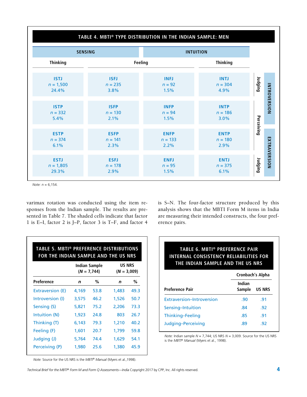## **TABLE 4. MBTI® TYPE DISTRIBUTION IN THE INDIAN SAMPLE: MEN**

| <b>SENSING</b>                      |                                  |                                  | <b>INTUITION</b>                 |            |              |
|-------------------------------------|----------------------------------|----------------------------------|----------------------------------|------------|--------------|
| <b>Thinking</b>                     |                                  | Feeling                          | <b>Thinking</b>                  |            |              |
| <b>ISTJ</b><br>$n = 1,500$<br>24.4% | <b>ISFJ</b><br>$n = 235$<br>3.8% | <b>INFJ</b><br>$n = 92$<br>1.5%  | <b>INTJ</b><br>$n = 304$<br>4.9% | Judging    |              |
| <b>ISTP</b><br>$n = 332$<br>5.4%    | <b>ISFP</b><br>$n = 130$<br>2.1% | <b>INFP</b><br>$n = 94$<br>1.5%  | <b>INTP</b><br>$n = 186$<br>3.0% |            | INTROVERSION |
| <b>ESTP</b><br>$n = 374$<br>6.1%    | <b>ESFP</b><br>$n = 141$<br>2.3% | <b>ENFP</b><br>$n = 133$<br>2.2% | <b>ENTP</b><br>$n = 180$<br>2.9% | Perceiving |              |
| <b>ESTJ</b><br>$n = 1,805$<br>29.3% | <b>ESFJ</b><br>$n = 178$<br>2.9% | <b>ENFJ</b><br>$n = 95$<br>1.5%  | <b>ENTJ</b><br>$n = 375$<br>6.1% | Judging    | EXTRAVERSION |

*Note: n* = 6,154.

varimax rotation was conducted using the item responses from the Indian sample. The results are presented in Table 7. The shaded cells indicate that factor 1 is E–I, factor 2 is J–P, factor 3 is T–F, and factor 4 is S–N. The four-factor structure produced by this analysis shows that the MBTI Form M items in India are measuring their intended constructs, the four preference pairs.

|                  |       | Indian Sample<br>$(N = 7, 744)$ | <b>US NRS</b><br>$(N = 3,009)$ |      |  |
|------------------|-------|---------------------------------|--------------------------------|------|--|
| Preference       | n     | %                               | n                              | %    |  |
| Extraversion (E) | 4.169 | 53.8                            | 1,483                          | 49.3 |  |
| Introversion (I) | 3,575 | 46.2                            | 1,526                          | 50.7 |  |
| Sensing (S)      | 5,821 | 75.2                            | 2,206                          | 73.3 |  |
| Intuition (N)    | 1,923 | 24.8                            | 803                            | 26.7 |  |
| Thinking (T)     | 6,143 | 79.3                            | 1,210                          | 40.2 |  |
| Feeling (F)      | 1,601 | 20.7                            | 1,799                          | 59.8 |  |
| Judging (J)      | 5,764 | 74.4                            | 1,629                          | 54.1 |  |
| Perceiving (P)   | 1,980 | 25.6                            | 1,380                          | 45.9 |  |

**TABLE 6. MBTI® PREFERENCE PAIR INTERNAL CONSISTENCY RELIABILITIES FOR THE INDIAN SAMPLE AND THE US NRS**

|                           | <b>Cronbach's Alpha</b> |               |  |  |
|---------------------------|-------------------------|---------------|--|--|
| <b>Preference Pair</b>    | Indian<br>Sample        | <b>US NRS</b> |  |  |
| Extraversion-Introversion | .90                     | .91           |  |  |
| Sensing-Intuition         | .84                     | -92           |  |  |
| Thinking-Feeling          | .85                     | .91           |  |  |
| Judging-Perceiving        | .89                     | .92           |  |  |

*Note:* Indian sample *N* = 7,744; US NRS *N* = 3,009. Source for the US NRS is the *MBTI® Manual* (Myers et al., 1998).

*Note:* Source for the US NRS is the *MBTI® Manual* (Myers et al.,1998).

**Technical Brief for the MBTI® Form M and Form Q Assessments—India Copyright 2017 by CPP, Inc. All rights reserved.**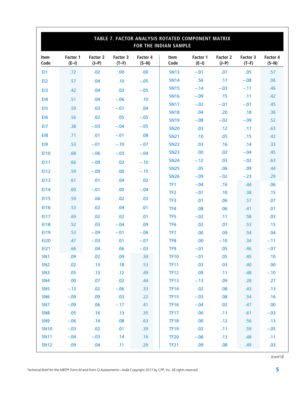|                 | TABLE 7. FACTOR ANALYSIS ROTATED COMPONENT MATRIX<br><b>FOR THE INDIAN SAMPLE</b> |                     |                     |                     |                            |                     |                     |                     |                     |
|-----------------|-----------------------------------------------------------------------------------|---------------------|---------------------|---------------------|----------------------------|---------------------|---------------------|---------------------|---------------------|
| Item<br>Code    | Factor 1<br>$(E-I)$                                                               | Factor 2<br>$(J-P)$ | Factor 3<br>$(T-F)$ | Factor 4<br>$(S-N)$ | Item<br>Code               | Factor 1<br>$(E-I)$ | Factor 2<br>$(J-P)$ | Factor 3<br>$(T-F)$ | Factor 4<br>$(S-N)$ |
| EI1             | .72                                                                               | .02                 | .00                 | .00                 | <b>SN13</b>                | $-.01$              | .07                 | .05                 | .57                 |
| EI <sub>2</sub> | .57                                                                               | .04                 | .10                 | $-.05$              | <b>SN14</b>                | .56                 | .17                 | $-.08$              | .06                 |
| EI3             | .42                                                                               | .04                 | .03                 | $-.05$              | <b>SN15</b>                | $-.14$              | $-.03$              | $-.11$              | .46                 |
| E14             | .51                                                                               | .04                 | $-.06$              | .10                 | <b>SN16</b>                | $-.09$              | .15                 | .11                 | .42                 |
| EI5             | .59                                                                               | .03                 | $-.01$              | .04                 | <b>SN17</b>                | $-.02$              | $-.01$              | $-.07$              | .45                 |
| EI6             | .56                                                                               | .02                 | .05                 | $-.05$              | <b>SN18</b>                | .04                 | .20                 | .18                 | .36                 |
| EI7             | .38                                                                               | $-.03$              | $-.04$              | $-.05$              | <b>SN19</b>                | $-.08$              | $-.02$              | $-.09$              | .52                 |
|                 |                                                                                   | .01                 |                     |                     | <b>SN20</b>                | .03                 | .12                 | .17                 | .63                 |
| EI8             | .71                                                                               |                     | $-.01$              | .08                 | <b>SN21</b>                | .10                 | .05                 | .15                 | .42                 |
| EI9             | .53                                                                               | $-.01$              | $-.10$              | $-.07$              | <b>SN22</b>                | .03                 | .16                 | .14                 | .33                 |
| <b>EI10</b>     | .68                                                                               | $-.06$              | $-.03$              | $-.04$              | <b>SN23</b>                | .00.                | .02                 | $-.04$              | .45                 |
| EI11            | .66                                                                               | $-.09$              | .03                 | $-.10$              | <b>SN24</b><br><b>SN25</b> | $-.12$<br>.05       | .03<br>.06          | $-.02$<br>.09       | .63<br>.44          |
| EI12            | .54                                                                               | $-.09$              | .00                 | $-.15$              | <b>SN26</b>                | $-.09$              | $-.02$              | $-.23$              | .29                 |
| <b>EI13</b>     | .61                                                                               | .01                 | .04                 | .02                 | TF1                        | $-.04$              | .16                 | .44                 | .06                 |
| EI14            | .60                                                                               | $-.01$              | .00                 | $-.04$              | TF <sub>2</sub>            | $-.07$              | .10                 | .38                 | .15                 |
| <b>EI15</b>     | .59                                                                               | .06                 | .02                 | .03                 | TF <sub>3</sub>            | .01                 | .06                 | .57                 | .07                 |
| <b>EI16</b>     | .53                                                                               | .02                 | .04                 | .01                 | TF4                        | .08                 | .06                 | .41                 | .01                 |
| E117            | .69                                                                               | .02                 | .02                 | .01                 | TF <sub>5</sub>            | $-.02$              | .11                 | .58                 | .03                 |
| <b>EI18</b>     | .52                                                                               | .03                 | $-.04$              | .09                 | TF <sub>6</sub>            | .02                 | .07                 | .53                 | .15                 |
| EI19            | .53                                                                               | $-.09$              | $-.01$              | $-.06$              | TF7                        | .00.                | .09                 | .54                 | .04                 |
| <b>EI20</b>     | .47                                                                               | $-.03$              | .01                 | $-.07$              | TF <sub>8</sub>            | .00.                | $-.10$              | .34                 | $-.11$              |
| EI21            | .66                                                                               | .04                 | .06                 | $-.03$              | TF <sub>9</sub>            | $-.01$              | .05                 | .46                 | $-.07$              |
| SN <sub>1</sub> | .09                                                                               | .02                 | .09                 | .34                 | TF10                       | $-.01$              | .05                 | .45                 | .10                 |
| SN <sub>2</sub> | .02                                                                               | .13                 | .18                 | .53                 | <b>TF11</b>                | .03                 | .03                 | .40                 | .00                 |
| SN <sub>3</sub> | .05                                                                               | .13                 | .12                 | .49                 | <b>TF12</b>                | .09                 | .11                 | .48                 | $-.10$              |
| SN <sub>4</sub> | .00                                                                               | .07                 | .02                 | .44                 | <b>TF13</b>                | $-.13$              | .09                 | .28                 | .27                 |
| <b>SN5</b>      | $-.13$                                                                            | .02                 | $-.06$              | .33                 | <b>TF14</b>                | .02                 | .08                 | .43                 | .13                 |
| SN <sub>6</sub> | $-.09$                                                                            | .09                 | .03                 | .22                 | <b>TF15</b>                | $-.03$              | .08                 | .54                 | .16                 |
| SN <sub>7</sub> | $-.09$                                                                            | .06                 | $-.17$              | .41                 | <b>TF16</b>                | $-.04$              | .02                 | .47                 | .00                 |
| SN <sub>8</sub> | .05                                                                               | .16                 | .13                 | .35                 | <b>TF17</b>                | .00                 | .11                 | .61                 | $-.03$              |
| SN <sub>9</sub> | $-.06$                                                                            | .14                 | .08                 | .63                 | <b>TF18</b>                | .00                 | .12                 | .56                 | .13                 |
| <b>SN10</b>     | $-.03$                                                                            | .02                 | .01                 | .39                 | <b>TF19</b>                | .02                 | .11                 | .59                 | $-.05$              |
| <b>SN11</b>     | $-.04$                                                                            | $-.03$              | .14                 | .16                 | <b>TF20</b>                | $-.06$              | .13                 | .48                 | .11                 |
| <b>SN12</b>     | .09                                                                               | .04                 | .11                 | .29                 | <b>TF21</b>                | .09                 | .08                 | .49                 | .03                 |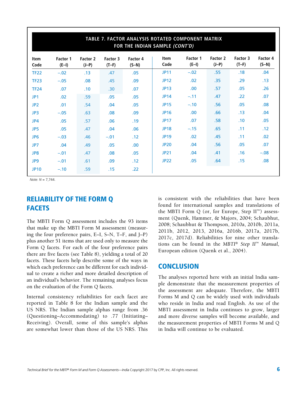| TABLE 7. FACTOR ANALYSIS ROTATED COMPONENT MATRIX<br>FOR THE INDIAN SAMPLE (CONT'D) |                     |                     |                     |                     |                     |                     |                     |                     |                     |
|-------------------------------------------------------------------------------------|---------------------|---------------------|---------------------|---------------------|---------------------|---------------------|---------------------|---------------------|---------------------|
| <b>Item</b><br>Code                                                                 | Factor 1<br>$(E-I)$ | Factor 2<br>$(J-P)$ | Factor 3<br>$(T-F)$ | Factor 4<br>$(S-N)$ | <b>Item</b><br>Code | Factor 1<br>$(E-I)$ | Factor 2<br>$(J-P)$ | Factor 3<br>$(T-F)$ | Factor 4<br>$(S-N)$ |
| <b>TF22</b>                                                                         | $-.02$              | .13                 | .47                 | .05                 | <b>JP11</b>         | $-.02$              | .55                 | .18                 | .04                 |
| <b>TF23</b>                                                                         | $-.05$              | .08                 | .45                 | .09                 | <b>JP12</b>         | .02                 | .35                 | .29                 | .13                 |
| <b>TF24</b>                                                                         | .07                 | .10                 | .30                 | .07                 | <b>JP13</b>         | .00                 | .57                 | .05                 | .26                 |
| JP1                                                                                 | .02                 | .59                 | .05                 | .05                 | <b>JP14</b>         | $-.11$              | .47                 | .22                 | .07                 |
| JP2                                                                                 | .01                 | .54                 | .04                 | .05                 | <b>JP15</b>         | $-.10$              | .56                 | .05                 | .08                 |
| JP3                                                                                 | $-.05$              | .63                 | .08                 | .09                 | <b>JP16</b>         | .00.                | .66                 | .13                 | .04                 |
| JP4                                                                                 | .05                 | .57                 | .06                 | .19                 | <b>JP17</b>         | .07                 | .58                 | .10                 | .05                 |
| JP5                                                                                 | .05                 | .47                 | .04                 | .06                 | <b>JP18</b>         | $-.15$              | .65                 | .11                 | .12                 |
| JP <sub>6</sub>                                                                     | $-.03$              | .46                 | $-.01$              | .12                 | <b>JP19</b>         | .02                 | .45                 | .11                 | .02                 |
| JP7                                                                                 | .04                 | .49                 | .05                 | .00                 | <b>JP20</b>         | .04                 | .56                 | .05                 | .07                 |
| JP8                                                                                 | $-.01$              | .47                 | .08                 | .05                 | <b>JP21</b>         | .04                 | .41                 | .16                 | $-.08$              |
| JP9                                                                                 | $-.01$              | .61                 | .09                 | .12                 | <b>JP22</b>         | .05                 | .64                 | .15                 | .08                 |
| <b>JP10</b>                                                                         | $-.10$              | .59                 | .15                 | .22                 |                     |                     |                     |                     |                     |

*Note: N* = 7,744.

# RELIABILITY OF THE FORM Q FACETS

The MBTI Form Q assessment includes the 93 items that make up the MBTI Form M assessment (measuring the four preference pairs, E–I, S–N, T–F, and J–P) plus another 51 items that are used only to measure the Form Q facets. For each of the four preference pairs there are five facets (see Table 8), yielding a total of 20 facets. These facets help describe some of the ways in which each preference can be different for each individual to create a richer and more detailed description of an individual's behavior. The remaining analyses focus on the evaluation of the Form Q facets.

Internal consistency reliabilities for each facet are reported in Table 8 for the Indian sample and the US NRS. The Indian sample alphas range from .36 (Questioning–Accommodating) to .77 (Initiating– Receiving). Overall, some of this sample's alphas are somewhat lower than those of the US NRS. This is consistent with the reliabilities that have been found for international samples and translations of the MBTI Form Q (or, for Europe, Step  $II<sup>m</sup>$ ) assessment (Quenk, Hammer, & Majors, 2004; Schaubhut, 2008; Schaubhut & Thompson, 2010a, 2010b, 2011a, 2011b, 2012, 2013, 2016a, 2016b, 2017a, 2017b, 2017c, 2017d). Reliabilities for nine other translations can be found in the *MBTI*® *Step II*™ *Manual,*  European edition (Quenk et al., 2004).

### **CONCLUSION**

The analyses reported here with an initial India sample demonstrate that the measurement properties of the assessment are adequate. Therefore, the MBTI Forms M and Q can be widely used with individuals who reside in India and read English. As use of the MBTI assessment in India continues to grow, larger and more diverse samples will become available, and the measurement properties of MBTI Forms M and Q in India will continue to be evaluated.